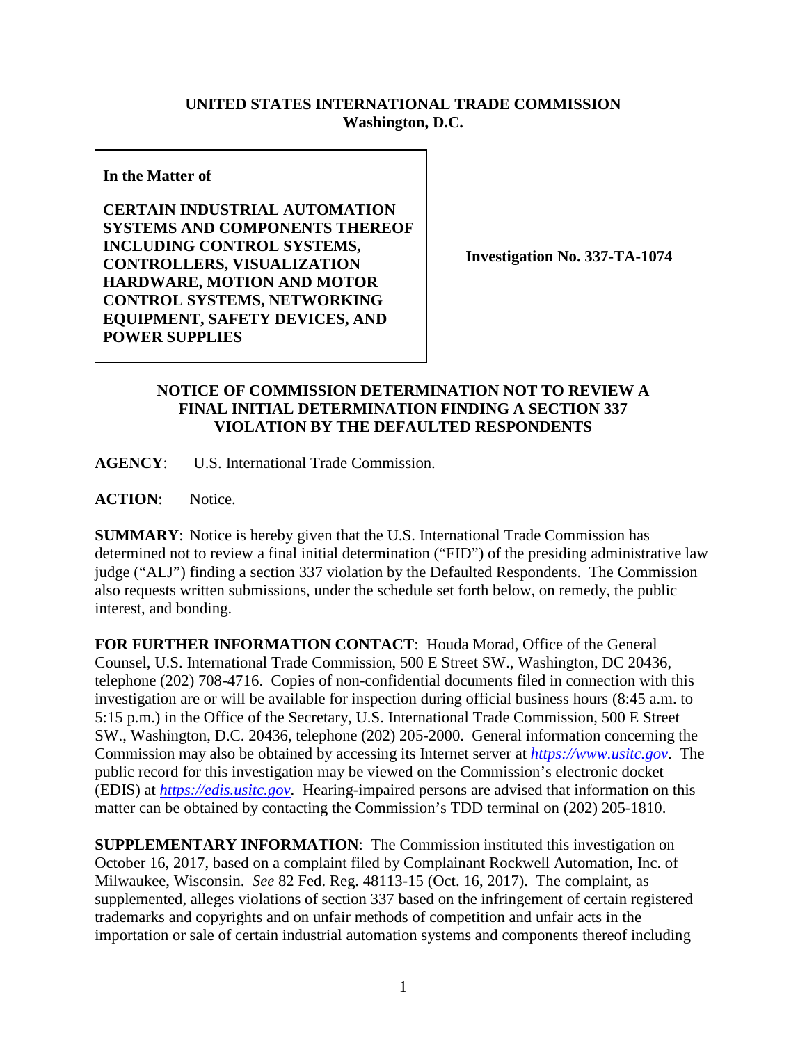## **UNITED STATES INTERNATIONAL TRADE COMMISSION Washington, D.C.**

## **In the Matter of**

**CERTAIN INDUSTRIAL AUTOMATION SYSTEMS AND COMPONENTS THEREOF INCLUDING CONTROL SYSTEMS, CONTROLLERS, VISUALIZATION HARDWARE, MOTION AND MOTOR CONTROL SYSTEMS, NETWORKING EQUIPMENT, SAFETY DEVICES, AND POWER SUPPLIES**

**Investigation No. 337-TA-1074**

## **NOTICE OF COMMISSION DETERMINATION NOT TO REVIEW A FINAL INITIAL DETERMINATION FINDING A SECTION 337 VIOLATION BY THE DEFAULTED RESPONDENTS**

**AGENCY**: U.S. International Trade Commission.

ACTION: Notice.

**SUMMARY**: Notice is hereby given that the U.S. International Trade Commission has determined not to review a final initial determination ("FID") of the presiding administrative law judge ("ALJ") finding a section 337 violation by the Defaulted Respondents. The Commission also requests written submissions, under the schedule set forth below, on remedy, the public interest, and bonding.

**FOR FURTHER INFORMATION CONTACT**: Houda Morad, Office of the General Counsel, U.S. International Trade Commission, 500 E Street SW., Washington, DC 20436, telephone (202) 708-4716. Copies of non-confidential documents filed in connection with this investigation are or will be available for inspection during official business hours (8:45 a.m. to 5:15 p.m.) in the Office of the Secretary, U.S. International Trade Commission, 500 E Street SW., Washington, D.C. 20436, telephone (202) 205-2000. General information concerning the Commission may also be obtained by accessing its Internet server at *[https://www.usitc.gov](https://www.usitc.gov/)*. The public record for this investigation may be viewed on the Commission's electronic docket (EDIS) at *[https://edis.usitc.gov](http://edis.usitc.gov/)*. Hearing-impaired persons are advised that information on this matter can be obtained by contacting the Commission's TDD terminal on (202) 205-1810.

**SUPPLEMENTARY INFORMATION**: The Commission instituted this investigation on October 16, 2017, based on a complaint filed by Complainant Rockwell Automation, Inc. of Milwaukee, Wisconsin. *See* 82 Fed. Reg. 48113-15 (Oct. 16, 2017). The complaint, as supplemented, alleges violations of section 337 based on the infringement of certain registered trademarks and copyrights and on unfair methods of competition and unfair acts in the importation or sale of certain industrial automation systems and components thereof including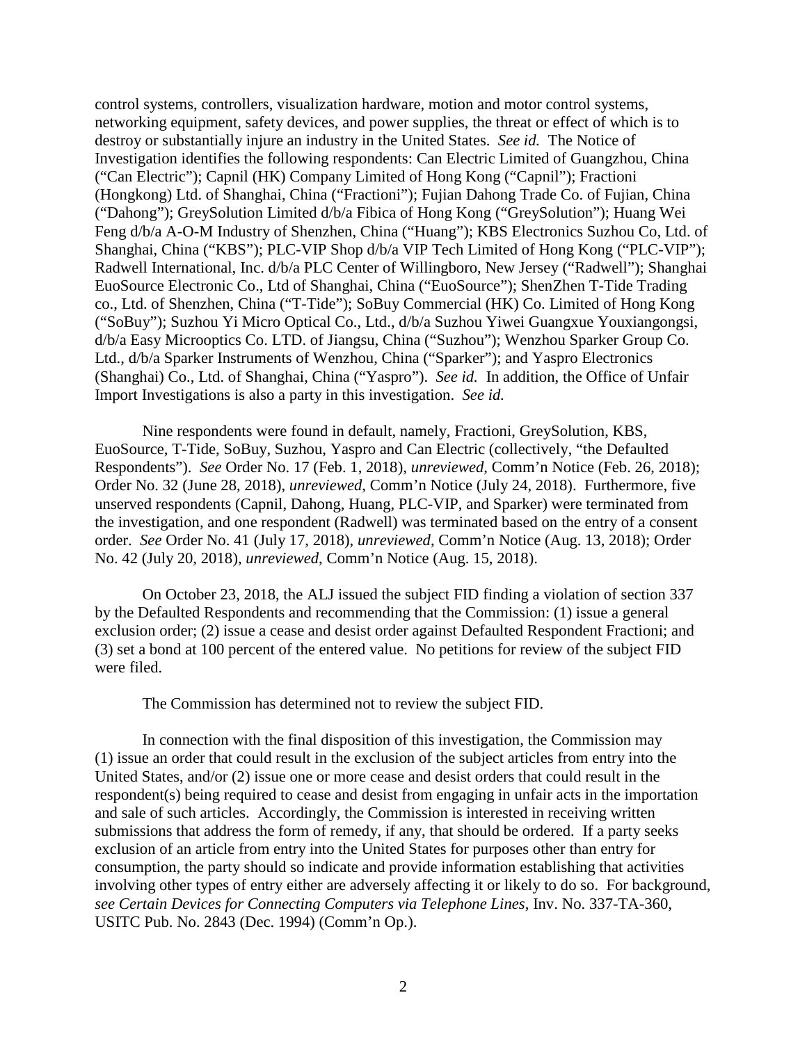control systems, controllers, visualization hardware, motion and motor control systems, networking equipment, safety devices, and power supplies, the threat or effect of which is to destroy or substantially injure an industry in the United States. *See id.* The Notice of Investigation identifies the following respondents: Can Electric Limited of Guangzhou, China ("Can Electric"); Capnil (HK) Company Limited of Hong Kong ("Capnil"); Fractioni (Hongkong) Ltd. of Shanghai, China ("Fractioni"); Fujian Dahong Trade Co. of Fujian, China ("Dahong"); GreySolution Limited d/b/a Fibica of Hong Kong ("GreySolution"); Huang Wei Feng d/b/a A-O-M Industry of Shenzhen, China ("Huang"); KBS Electronics Suzhou Co, Ltd. of Shanghai, China ("KBS"); PLC-VIP Shop d/b/a VIP Tech Limited of Hong Kong ("PLC-VIP"); Radwell International, Inc. d/b/a PLC Center of Willingboro, New Jersey ("Radwell"); Shanghai EuoSource Electronic Co., Ltd of Shanghai, China ("EuoSource"); ShenZhen T-Tide Trading co., Ltd. of Shenzhen, China ("T-Tide"); SoBuy Commercial (HK) Co. Limited of Hong Kong ("SoBuy"); Suzhou Yi Micro Optical Co., Ltd., d/b/a Suzhou Yiwei Guangxue Youxiangongsi, d/b/a Easy Microoptics Co. LTD. of Jiangsu, China ("Suzhou"); Wenzhou Sparker Group Co. Ltd., d/b/a Sparker Instruments of Wenzhou, China ("Sparker"); and Yaspro Electronics (Shanghai) Co., Ltd. of Shanghai, China ("Yaspro"). *See id.* In addition, the Office of Unfair Import Investigations is also a party in this investigation. *See id.* 

Nine respondents were found in default, namely, Fractioni, GreySolution, KBS, EuoSource, T-Tide, SoBuy, Suzhou, Yaspro and Can Electric (collectively, "the Defaulted Respondents"). *See* Order No. 17 (Feb. 1, 2018), *unreviewed*, Comm'n Notice (Feb. 26, 2018); Order No. 32 (June 28, 2018), *unreviewed*, Comm'n Notice (July 24, 2018). Furthermore, five unserved respondents (Capnil, Dahong, Huang, PLC-VIP, and Sparker) were terminated from the investigation, and one respondent (Radwell) was terminated based on the entry of a consent order. *See* Order No. 41 (July 17, 2018), *unreviewed*, Comm'n Notice (Aug. 13, 2018); Order No. 42 (July 20, 2018), *unreviewed*, Comm'n Notice (Aug. 15, 2018).

On October 23, 2018, the ALJ issued the subject FID finding a violation of section 337 by the Defaulted Respondents and recommending that the Commission: (1) issue a general exclusion order; (2) issue a cease and desist order against Defaulted Respondent Fractioni; and (3) set a bond at 100 percent of the entered value. No petitions for review of the subject FID were filed.

The Commission has determined not to review the subject FID.

In connection with the final disposition of this investigation, the Commission may (1) issue an order that could result in the exclusion of the subject articles from entry into the United States, and/or (2) issue one or more cease and desist orders that could result in the respondent(s) being required to cease and desist from engaging in unfair acts in the importation and sale of such articles. Accordingly, the Commission is interested in receiving written submissions that address the form of remedy, if any, that should be ordered. If a party seeks exclusion of an article from entry into the United States for purposes other than entry for consumption, the party should so indicate and provide information establishing that activities involving other types of entry either are adversely affecting it or likely to do so. For background, *see Certain Devices for Connecting Computers via Telephone Lines*, Inv. No. 337-TA-360, USITC Pub. No. 2843 (Dec. 1994) (Comm'n Op.).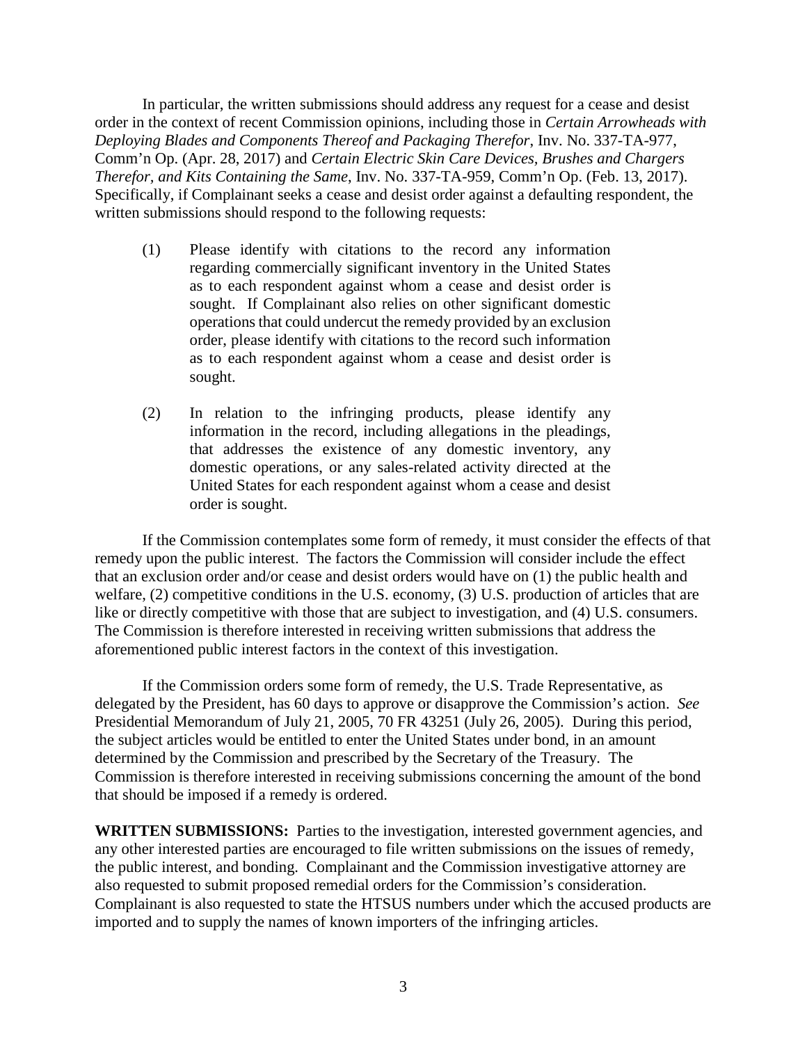In particular, the written submissions should address any request for a cease and desist order in the context of recent Commission opinions, including those in *Certain Arrowheads with Deploying Blades and Components Thereof and Packaging Therefor*, Inv. No. 337-TA-977, Comm'n Op. (Apr. 28, 2017) and *Certain Electric Skin Care Devices, Brushes and Chargers Therefor, and Kits Containing the Same*, Inv. No. 337-TA-959, Comm'n Op. (Feb. 13, 2017). Specifically, if Complainant seeks a cease and desist order against a defaulting respondent, the written submissions should respond to the following requests:

- (1) Please identify with citations to the record any information regarding commercially significant inventory in the United States as to each respondent against whom a cease and desist order is sought. If Complainant also relies on other significant domestic operations that could undercut the remedy provided by an exclusion order, please identify with citations to the record such information as to each respondent against whom a cease and desist order is sought.
- (2) In relation to the infringing products, please identify any information in the record, including allegations in the pleadings, that addresses the existence of any domestic inventory, any domestic operations, or any sales-related activity directed at the United States for each respondent against whom a cease and desist order is sought.

If the Commission contemplates some form of remedy, it must consider the effects of that remedy upon the public interest. The factors the Commission will consider include the effect that an exclusion order and/or cease and desist orders would have on (1) the public health and welfare, (2) competitive conditions in the U.S. economy, (3) U.S. production of articles that are like or directly competitive with those that are subject to investigation, and (4) U.S. consumers. The Commission is therefore interested in receiving written submissions that address the aforementioned public interest factors in the context of this investigation.

If the Commission orders some form of remedy, the U.S. Trade Representative, as delegated by the President, has 60 days to approve or disapprove the Commission's action. *See*  Presidential Memorandum of July 21, 2005, 70 FR 43251 (July 26, 2005). During this period, the subject articles would be entitled to enter the United States under bond, in an amount determined by the Commission and prescribed by the Secretary of the Treasury. The Commission is therefore interested in receiving submissions concerning the amount of the bond that should be imposed if a remedy is ordered.

**WRITTEN SUBMISSIONS:** Parties to the investigation, interested government agencies, and any other interested parties are encouraged to file written submissions on the issues of remedy, the public interest, and bonding. Complainant and the Commission investigative attorney are also requested to submit proposed remedial orders for the Commission's consideration. Complainant is also requested to state the HTSUS numbers under which the accused products are imported and to supply the names of known importers of the infringing articles.